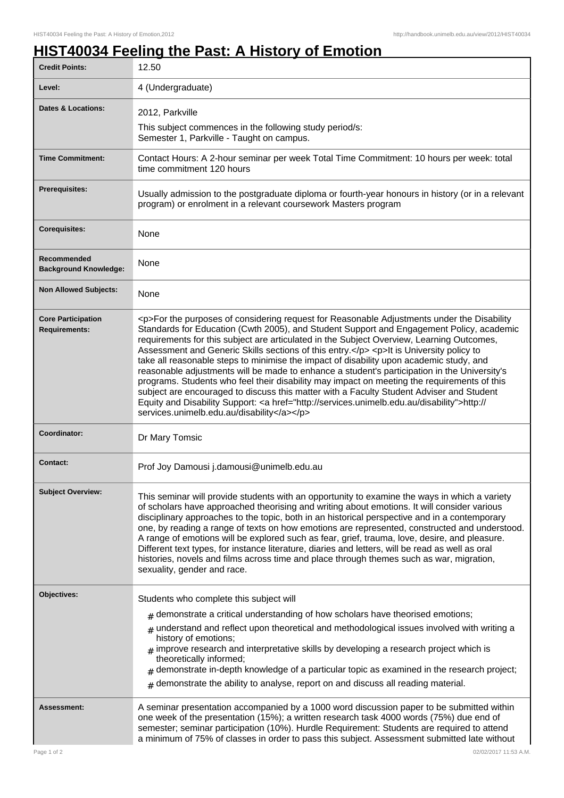ı

## **HIST40034 Feeling the Past: A History of Emotion**

| <b>Credit Points:</b>                              | 12.50                                                                                                                                                                                                                                                                                                                                                                                                                                                                                                                                                                                                                                                                                                                                                                                                                                                                                                                        |
|----------------------------------------------------|------------------------------------------------------------------------------------------------------------------------------------------------------------------------------------------------------------------------------------------------------------------------------------------------------------------------------------------------------------------------------------------------------------------------------------------------------------------------------------------------------------------------------------------------------------------------------------------------------------------------------------------------------------------------------------------------------------------------------------------------------------------------------------------------------------------------------------------------------------------------------------------------------------------------------|
| Level:                                             | 4 (Undergraduate)                                                                                                                                                                                                                                                                                                                                                                                                                                                                                                                                                                                                                                                                                                                                                                                                                                                                                                            |
| <b>Dates &amp; Locations:</b>                      | 2012, Parkville                                                                                                                                                                                                                                                                                                                                                                                                                                                                                                                                                                                                                                                                                                                                                                                                                                                                                                              |
|                                                    | This subject commences in the following study period/s:                                                                                                                                                                                                                                                                                                                                                                                                                                                                                                                                                                                                                                                                                                                                                                                                                                                                      |
|                                                    | Semester 1, Parkville - Taught on campus.                                                                                                                                                                                                                                                                                                                                                                                                                                                                                                                                                                                                                                                                                                                                                                                                                                                                                    |
| <b>Time Commitment:</b>                            | Contact Hours: A 2-hour seminar per week Total Time Commitment: 10 hours per week: total<br>time commitment 120 hours                                                                                                                                                                                                                                                                                                                                                                                                                                                                                                                                                                                                                                                                                                                                                                                                        |
| <b>Prerequisites:</b>                              | Usually admission to the postgraduate diploma or fourth-year honours in history (or in a relevant<br>program) or enrolment in a relevant coursework Masters program                                                                                                                                                                                                                                                                                                                                                                                                                                                                                                                                                                                                                                                                                                                                                          |
| <b>Corequisites:</b>                               | None                                                                                                                                                                                                                                                                                                                                                                                                                                                                                                                                                                                                                                                                                                                                                                                                                                                                                                                         |
| <b>Recommended</b><br><b>Background Knowledge:</b> | None                                                                                                                                                                                                                                                                                                                                                                                                                                                                                                                                                                                                                                                                                                                                                                                                                                                                                                                         |
| <b>Non Allowed Subjects:</b>                       | None                                                                                                                                                                                                                                                                                                                                                                                                                                                                                                                                                                                                                                                                                                                                                                                                                                                                                                                         |
| <b>Core Participation</b><br><b>Requirements:</b>  | <p>For the purposes of considering request for Reasonable Adjustments under the Disability<br/>Standards for Education (Cwth 2005), and Student Support and Engagement Policy, academic<br/>requirements for this subject are articulated in the Subject Overview, Learning Outcomes,<br/>Assessment and Generic Skills sections of this entry.</p> <p>lt is University policy to<br/>take all reasonable steps to minimise the impact of disability upon academic study, and<br/>reasonable adjustments will be made to enhance a student's participation in the University's<br/>programs. Students who feel their disability may impact on meeting the requirements of this<br/>subject are encouraged to discuss this matter with a Faculty Student Adviser and Student<br/>Equity and Disability Support: &lt; a href="http://services.unimelb.edu.au/disability"&gt;http://<br/>services.unimelb.edu.au/disability</p> |
| Coordinator:                                       | Dr Mary Tomsic                                                                                                                                                                                                                                                                                                                                                                                                                                                                                                                                                                                                                                                                                                                                                                                                                                                                                                               |
| <b>Contact:</b>                                    | Prof Joy Damousi j.damousi@unimelb.edu.au                                                                                                                                                                                                                                                                                                                                                                                                                                                                                                                                                                                                                                                                                                                                                                                                                                                                                    |
| <b>Subject Overview:</b>                           | This seminar will provide students with an opportunity to examine the ways in which a variety<br>of scholars have approached theorising and writing about emotions. It will consider various<br>disciplinary approaches to the topic, both in an historical perspective and in a contemporary<br>one, by reading a range of texts on how emotions are represented, constructed and understood.<br>A range of emotions will be explored such as fear, grief, trauma, love, desire, and pleasure.<br>Different text types, for instance literature, diaries and letters, will be read as well as oral<br>histories, novels and films across time and place through themes such as war, migration,<br>sexuality, gender and race.                                                                                                                                                                                               |
| Objectives:                                        | Students who complete this subject will                                                                                                                                                                                                                                                                                                                                                                                                                                                                                                                                                                                                                                                                                                                                                                                                                                                                                      |
|                                                    | $#$ demonstrate a critical understanding of how scholars have theorised emotions;                                                                                                                                                                                                                                                                                                                                                                                                                                                                                                                                                                                                                                                                                                                                                                                                                                            |
|                                                    | $#$ understand and reflect upon theoretical and methodological issues involved with writing a<br>history of emotions;                                                                                                                                                                                                                                                                                                                                                                                                                                                                                                                                                                                                                                                                                                                                                                                                        |
|                                                    | $#$ improve research and interpretative skills by developing a research project which is                                                                                                                                                                                                                                                                                                                                                                                                                                                                                                                                                                                                                                                                                                                                                                                                                                     |
|                                                    | theoretically informed;<br>demonstrate in-depth knowledge of a particular topic as examined in the research project;                                                                                                                                                                                                                                                                                                                                                                                                                                                                                                                                                                                                                                                                                                                                                                                                         |
|                                                    | demonstrate the ability to analyse, report on and discuss all reading material.<br>#                                                                                                                                                                                                                                                                                                                                                                                                                                                                                                                                                                                                                                                                                                                                                                                                                                         |
| Assessment:                                        | A seminar presentation accompanied by a 1000 word discussion paper to be submitted within<br>one week of the presentation (15%); a written research task 4000 words (75%) due end of<br>semester; seminar participation (10%). Hurdle Requirement: Students are required to attend<br>a minimum of 75% of classes in order to pass this subject. Assessment submitted late without                                                                                                                                                                                                                                                                                                                                                                                                                                                                                                                                           |